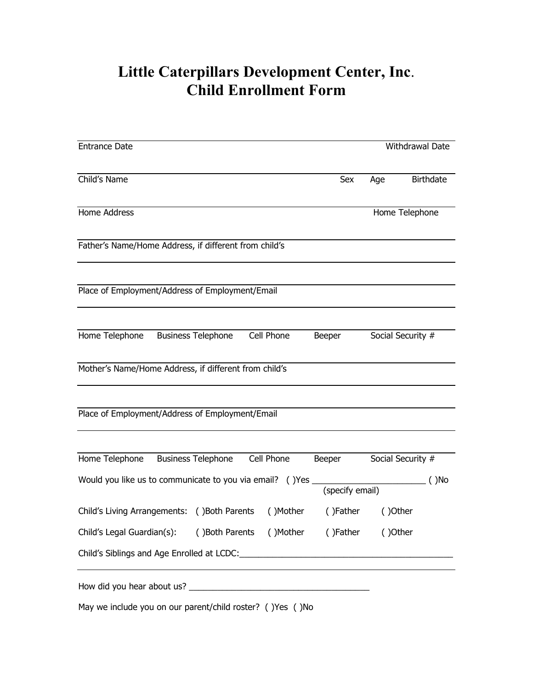## **Little Caterpillars Development Center, Inc**. **Child Enrollment Form**

| <b>Entrance Date</b>                                                         |                                  |            |                |                   | Withdrawal Date  |
|------------------------------------------------------------------------------|----------------------------------|------------|----------------|-------------------|------------------|
| Child's Name                                                                 |                                  |            | Sex            | Age               | <b>Birthdate</b> |
| Home Address                                                                 |                                  |            | Home Telephone |                   |                  |
| Father's Name/Home Address, if different from child's                        |                                  |            |                |                   |                  |
| Place of Employment/Address of Employment/Email                              |                                  |            |                |                   |                  |
| Home Telephone                                                               | <b>Business Telephone</b>        | Cell Phone | Beeper         | Social Security # |                  |
| Mother's Name/Home Address, if different from child's                        |                                  |            |                |                   |                  |
| Place of Employment/Address of Employment/Email                              |                                  |            |                |                   |                  |
| Home Telephone                                                               | <b>Business Telephone</b>        | Cell Phone | Beeper         | Social Security # | $( )$ No         |
| Would you like us to communicate to you via email? () Yes<br>(specify email) |                                  |            |                |                   |                  |
| Child's Living Arrangements: () Both Parents                                 |                                  | ()Mother   | ()Father       | ()Other           |                  |
| Child's Legal Guardian(s):                                                   | ()Both Parents ()Mother ()Father |            |                | ()Other           |                  |
|                                                                              |                                  |            |                |                   |                  |
|                                                                              |                                  |            |                |                   |                  |
|                                                                              |                                  |            |                |                   |                  |

May we include you on our parent/child roster? ( )Yes ( )No